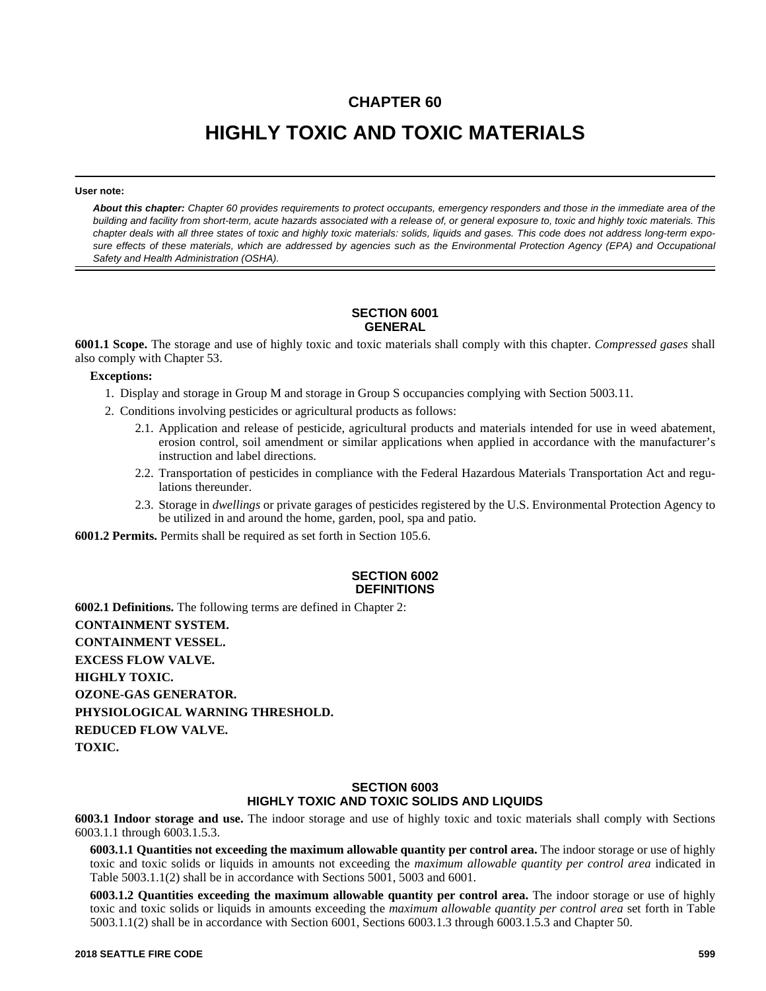## **CHAPTER 60**

# **HIGHLY TOXIC AND TOXIC MATERIALS**

#### **User note:**

*About this chapter: Chapter 60 provides requirements to protect occupants, emergency responders and those in the immediate area of the building and facility from short-term, acute hazards associated with a release of, or general exposure to, toxic and highly toxic materials. This chapter deals with all three states of toxic and highly toxic materials: solids, liquids and gases. This code does not address long-term exposure effects of these materials, which are addressed by agencies such as the Environmental Protection Agency (EPA) and Occupational Safety and Health Administration (OSHA).*

#### **SECTION 6001 GENERAL**

**6001.1 Scope.** The storage and use of highly toxic and toxic materials shall comply with this chapter. *Compressed gases* shall also comply with Chapter 53.

#### **Exceptions:**

- 1. Display and storage in Group M and storage in Group S occupancies complying with Section 5003.11.
- 2. Conditions involving pesticides or agricultural products as follows:
	- 2.1. Application and release of pesticide, agricultural products and materials intended for use in weed abatement, erosion control, soil amendment or similar applications when applied in accordance with the manufacturer's instruction and label directions.
	- 2.2. Transportation of pesticides in compliance with the Federal Hazardous Materials Transportation Act and regulations thereunder.
	- 2.3. Storage in *dwellings* or private garages of pesticides registered by the U.S. Environmental Protection Agency to be utilized in and around the home, garden, pool, spa and patio.

**6001.2 Permits.** Permits shall be required as set forth in Section 105.6.

#### **SECTION 6002 DEFINITIONS**

**6002.1 Definitions.** The following terms are defined in Chapter 2: **CONTAINMENT SYSTEM. CONTAINMENT VESSEL. EXCESS FLOW VALVE. HIGHLY TOXIC. OZONE-GAS GENERATOR. PHYSIOLOGICAL WARNING THRESHOLD. REDUCED FLOW VALVE. TOXIC.**

## **SECTION 6003 HIGHLY TOXIC AND TOXIC SOLIDS AND LIQUIDS**

**6003.1 Indoor storage and use.** The indoor storage and use of highly toxic and toxic materials shall comply with Sections 6003.1.1 through 6003.1.5.3.

**6003.1.1 Quantities not exceeding the maximum allowable quantity per control area.** The indoor storage or use of highly toxic and toxic solids or liquids in amounts not exceeding the *maximum allowable quantity per control area* indicated in Table 5003.1.1(2) shall be in accordance with Sections 5001, 5003 and 6001.

**6003.1.2 Quantities exceeding the maximum allowable quantity per control area.** The indoor storage or use of highly toxic and toxic solids or liquids in amounts exceeding the *maximum allowable quantity per control area* set forth in Table 5003.1.1(2) shall be in accordance with Section 6001, Sections 6003.1.3 through 6003.1.5.3 and Chapter 50.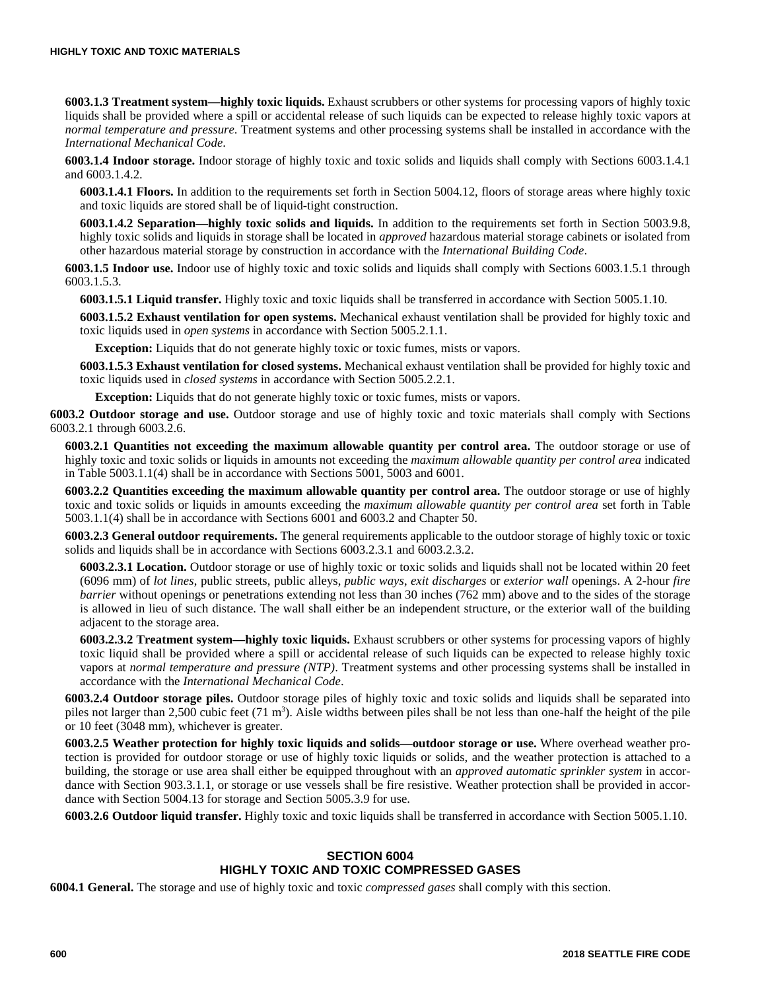**6003.1.3 Treatment system—highly toxic liquids.** Exhaust scrubbers or other systems for processing vapors of highly toxic liquids shall be provided where a spill or accidental release of such liquids can be expected to release highly toxic vapors at *normal temperature and pressure*. Treatment systems and other processing systems shall be installed in accordance with the *International Mechanical Code*.

**6003.1.4 Indoor storage.** Indoor storage of highly toxic and toxic solids and liquids shall comply with Sections 6003.1.4.1 and 6003.1.4.2.

**6003.1.4.1 Floors.** In addition to the requirements set forth in Section 5004.12, floors of storage areas where highly toxic and toxic liquids are stored shall be of liquid-tight construction.

**6003.1.4.2 Separation—highly toxic solids and liquids.** In addition to the requirements set forth in Section 5003.9.8, highly toxic solids and liquids in storage shall be located in *approved* hazardous material storage cabinets or isolated from other hazardous material storage by construction in accordance with the *International Building Code*.

**6003.1.5 Indoor use.** Indoor use of highly toxic and toxic solids and liquids shall comply with Sections 6003.1.5.1 through 6003.1.5.3.

**6003.1.5.1 Liquid transfer.** Highly toxic and toxic liquids shall be transferred in accordance with Section 5005.1.10.

**6003.1.5.2 Exhaust ventilation for open systems.** Mechanical exhaust ventilation shall be provided for highly toxic and toxic liquids used in *open systems* in accordance with Section 5005.2.1.1.

**Exception:** Liquids that do not generate highly toxic or toxic fumes, mists or vapors.

**6003.1.5.3 Exhaust ventilation for closed systems.** Mechanical exhaust ventilation shall be provided for highly toxic and toxic liquids used in *closed systems* in accordance with Section 5005.2.2.1.

**Exception:** Liquids that do not generate highly toxic or toxic fumes, mists or vapors.

**6003.2 Outdoor storage and use.** Outdoor storage and use of highly toxic and toxic materials shall comply with Sections 6003.2.1 through 6003.2.6.

**6003.2.1 Quantities not exceeding the maximum allowable quantity per control area.** The outdoor storage or use of highly toxic and toxic solids or liquids in amounts not exceeding the *maximum allowable quantity per control area* indicated in Table 5003.1.1(4) shall be in accordance with Sections 5001, 5003 and 6001.

**6003.2.2 Quantities exceeding the maximum allowable quantity per control area.** The outdoor storage or use of highly toxic and toxic solids or liquids in amounts exceeding the *maximum allowable quantity per control area* set forth in Table 5003.1.1(4) shall be in accordance with Sections 6001 and 6003.2 and Chapter 50.

**6003.2.3 General outdoor requirements.** The general requirements applicable to the outdoor storage of highly toxic or toxic solids and liquids shall be in accordance with Sections 6003.2.3.1 and 6003.2.3.2.

**6003.2.3.1 Location.** Outdoor storage or use of highly toxic or toxic solids and liquids shall not be located within 20 feet (6096 mm) of *lot lines*, public streets, public alleys, *public ways*, *exit discharges* or *exterior wall* openings. A 2-hour *fire barrier* without openings or penetrations extending not less than 30 inches (762 mm) above and to the sides of the storage is allowed in lieu of such distance. The wall shall either be an independent structure, or the exterior wall of the building adjacent to the storage area.

**6003.2.3.2 Treatment system—highly toxic liquids.** Exhaust scrubbers or other systems for processing vapors of highly toxic liquid shall be provided where a spill or accidental release of such liquids can be expected to release highly toxic vapors at *normal temperature and pressure (NTP)*. Treatment systems and other processing systems shall be installed in accordance with the *International Mechanical Code*.

**6003.2.4 Outdoor storage piles.** Outdoor storage piles of highly toxic and toxic solids and liquids shall be separated into piles not larger than 2,500 cubic feet  $(71 \text{ m}^3)$ . Aisle widths between piles shall be not less than one-half the height of the pile or 10 feet (3048 mm), whichever is greater.

**6003.2.5 Weather protection for highly toxic liquids and solids—outdoor storage or use.** Where overhead weather protection is provided for outdoor storage or use of highly toxic liquids or solids, and the weather protection is attached to a building, the storage or use area shall either be equipped throughout with an *approved automatic sprinkler system* in accordance with Section 903.3.1.1, or storage or use vessels shall be fire resistive. Weather protection shall be provided in accordance with Section 5004.13 for storage and Section 5005.3.9 for use.

**6003.2.6 Outdoor liquid transfer.** Highly toxic and toxic liquids shall be transferred in accordance with Section 5005.1.10.

## **SECTION 6004 HIGHLY TOXIC AND TOXIC COMPRESSED GASES**

**6004.1 General.** The storage and use of highly toxic and toxic *compressed gases* shall comply with this section.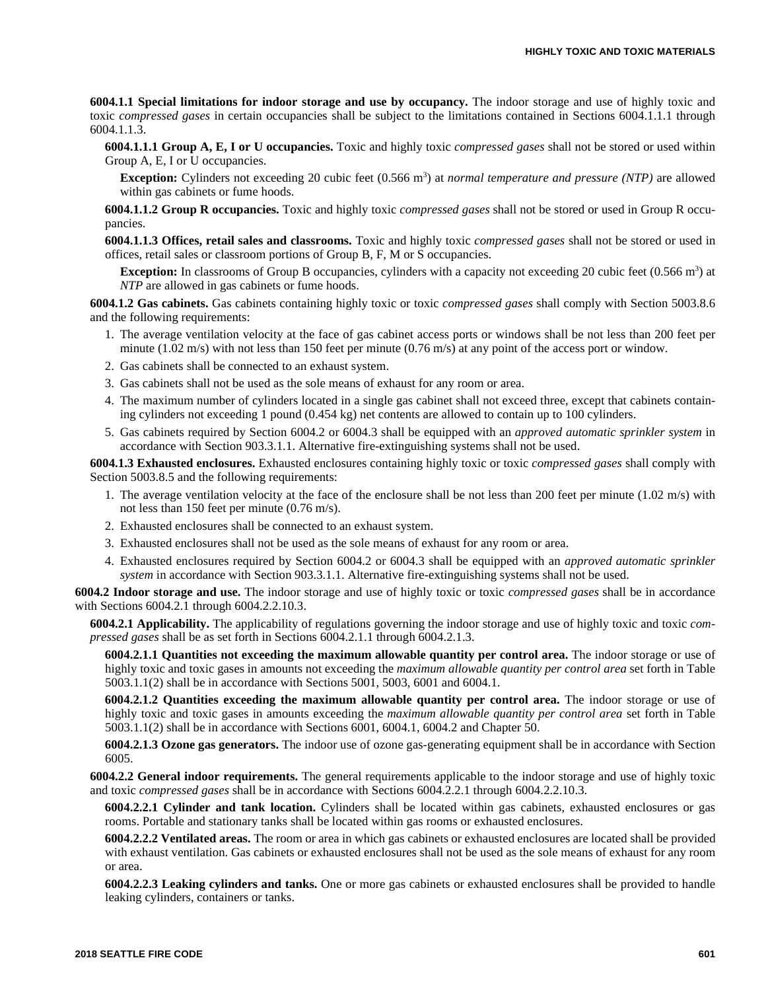**6004.1.1 Special limitations for indoor storage and use by occupancy.** The indoor storage and use of highly toxic and toxic *compressed gases* in certain occupancies shall be subject to the limitations contained in Sections 6004.1.1.1 through 6004.1.1.3.

**6004.1.1.1 Group A, E, I or U occupancies.** Toxic and highly toxic *compressed gases* shall not be stored or used within Group A, E, I or U occupancies.

**Exception:** Cylinders not exceeding 20 cubic feet (0.566 m<sup>3</sup>) at *normal temperature and pressure (NTP)* are allowed within gas cabinets or fume hoods.

**6004.1.1.2 Group R occupancies.** Toxic and highly toxic *compressed gases* shall not be stored or used in Group R occupancies.

**6004.1.1.3 Offices, retail sales and classrooms.** Toxic and highly toxic *compressed gases* shall not be stored or used in offices, retail sales or classroom portions of Group B, F, M or S occupancies.

**Exception:** In classrooms of Group B occupancies, cylinders with a capacity not exceeding 20 cubic feet (0.566 m<sup>3</sup>) at *NTP* are allowed in gas cabinets or fume hoods.

**6004.1.2 Gas cabinets.** Gas cabinets containing highly toxic or toxic *compressed gases* shall comply with Section 5003.8.6 and the following requirements:

- 1. The average ventilation velocity at the face of gas cabinet access ports or windows shall be not less than 200 feet per minute (1.02 m/s) with not less than 150 feet per minute (0.76 m/s) at any point of the access port or window.
- 2. Gas cabinets shall be connected to an exhaust system.
- 3. Gas cabinets shall not be used as the sole means of exhaust for any room or area.
- 4. The maximum number of cylinders located in a single gas cabinet shall not exceed three, except that cabinets containing cylinders not exceeding 1 pound (0.454 kg) net contents are allowed to contain up to 100 cylinders.
- 5. Gas cabinets required by Section 6004.2 or 6004.3 shall be equipped with an *approved automatic sprinkler system* in accordance with Section 903.3.1.1. Alternative fire-extinguishing systems shall not be used.

**6004.1.3 Exhausted enclosures.** Exhausted enclosures containing highly toxic or toxic *compressed gases* shall comply with Section 5003.8.5 and the following requirements:

- 1. The average ventilation velocity at the face of the enclosure shall be not less than 200 feet per minute (1.02 m/s) with not less than 150 feet per minute (0.76 m/s).
- 2. Exhausted enclosures shall be connected to an exhaust system.
- 3. Exhausted enclosures shall not be used as the sole means of exhaust for any room or area.
- 4. Exhausted enclosures required by Section 6004.2 or 6004.3 shall be equipped with an *approved automatic sprinkler system* in accordance with Section 903.3.1.1. Alternative fire-extinguishing systems shall not be used.

**6004.2 Indoor storage and use.** The indoor storage and use of highly toxic or toxic *compressed gases* shall be in accordance with Sections 6004.2.1 through 6004.2.2.10.3.

**6004.2.1 Applicability.** The applicability of regulations governing the indoor storage and use of highly toxic and toxic *compressed gases* shall be as set forth in Sections 6004.2.1.1 through 6004.2.1.3.

**6004.2.1.1 Quantities not exceeding the maximum allowable quantity per control area.** The indoor storage or use of highly toxic and toxic gases in amounts not exceeding the *maximum allowable quantity per control area* set forth in Table 5003.1.1(2) shall be in accordance with Sections 5001, 5003, 6001 and 6004.1.

**6004.2.1.2 Quantities exceeding the maximum allowable quantity per control area.** The indoor storage or use of highly toxic and toxic gases in amounts exceeding the *maximum allowable quantity per control area* set forth in Table 5003.1.1(2) shall be in accordance with Sections 6001, 6004.1, 6004.2 and Chapter 50.

**6004.2.1.3 Ozone gas generators.** The indoor use of ozone gas-generating equipment shall be in accordance with Section 6005.

**6004.2.2 General indoor requirements.** The general requirements applicable to the indoor storage and use of highly toxic and toxic *compressed gases* shall be in accordance with Sections 6004.2.2.1 through 6004.2.2.10.3.

**6004.2.2.1 Cylinder and tank location.** Cylinders shall be located within gas cabinets, exhausted enclosures or gas rooms. Portable and stationary tanks shall be located within gas rooms or exhausted enclosures.

**6004.2.2.2 Ventilated areas.** The room or area in which gas cabinets or exhausted enclosures are located shall be provided with exhaust ventilation. Gas cabinets or exhausted enclosures shall not be used as the sole means of exhaust for any room or area.

**6004.2.2.3 Leaking cylinders and tanks.** One or more gas cabinets or exhausted enclosures shall be provided to handle leaking cylinders, containers or tanks.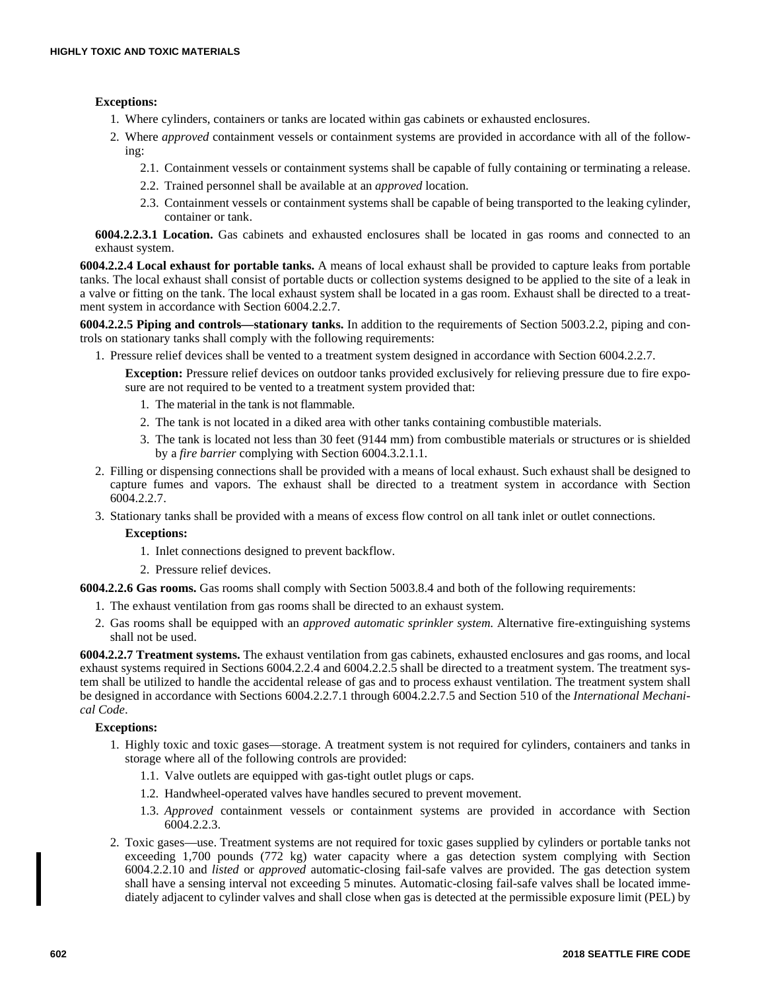## **Exceptions:**

- 1. Where cylinders, containers or tanks are located within gas cabinets or exhausted enclosures.
- 2. Where *approved* containment vessels or containment systems are provided in accordance with all of the following:
	- 2.1. Containment vessels or containment systems shall be capable of fully containing or terminating a release.
	- 2.2. Trained personnel shall be available at an *approved* location.
	- 2.3. Containment vessels or containment systems shall be capable of being transported to the leaking cylinder, container or tank.

**6004.2.2.3.1 Location.** Gas cabinets and exhausted enclosures shall be located in gas rooms and connected to an exhaust system.

**6004.2.2.4 Local exhaust for portable tanks.** A means of local exhaust shall be provided to capture leaks from portable tanks. The local exhaust shall consist of portable ducts or collection systems designed to be applied to the site of a leak in a valve or fitting on the tank. The local exhaust system shall be located in a gas room. Exhaust shall be directed to a treatment system in accordance with Section 6004.2.2.7.

**6004.2.2.5 Piping and controls—stationary tanks.** In addition to the requirements of Section 5003.2.2, piping and controls on stationary tanks shall comply with the following requirements:

1. Pressure relief devices shall be vented to a treatment system designed in accordance with Section 6004.2.2.7.

**Exception:** Pressure relief devices on outdoor tanks provided exclusively for relieving pressure due to fire exposure are not required to be vented to a treatment system provided that:

- 1. The material in the tank is not flammable.
- 2. The tank is not located in a diked area with other tanks containing combustible materials.
- 3. The tank is located not less than 30 feet (9144 mm) from combustible materials or structures or is shielded by a *fire barrier* complying with Section 6004.3.2.1.1.
- 2. Filling or dispensing connections shall be provided with a means of local exhaust. Such exhaust shall be designed to capture fumes and vapors. The exhaust shall be directed to a treatment system in accordance with Section 6004.2.2.7.
- 3. Stationary tanks shall be provided with a means of excess flow control on all tank inlet or outlet connections.

### **Exceptions:**

- 1. Inlet connections designed to prevent backflow.
- 2. Pressure relief devices.

**6004.2.2.6 Gas rooms.** Gas rooms shall comply with Section 5003.8.4 and both of the following requirements:

- 1. The exhaust ventilation from gas rooms shall be directed to an exhaust system.
- 2. Gas rooms shall be equipped with an *approved automatic sprinkler system*. Alternative fire-extinguishing systems shall not be used.

**6004.2.2.7 Treatment systems.** The exhaust ventilation from gas cabinets, exhausted enclosures and gas rooms, and local exhaust systems required in Sections 6004.2.2.4 and 6004.2.2.5 shall be directed to a treatment system. The treatment system shall be utilized to handle the accidental release of gas and to process exhaust ventilation. The treatment system shall be designed in accordance with Sections 6004.2.2.7.1 through 6004.2.2.7.5 and Section 510 of the *International Mechanical Code*.

## **Exceptions:**

- 1. Highly toxic and toxic gases—storage. A treatment system is not required for cylinders, containers and tanks in storage where all of the following controls are provided:
	- 1.1. Valve outlets are equipped with gas-tight outlet plugs or caps.
	- 1.2. Handwheel-operated valves have handles secured to prevent movement.
	- 1.3. *Approved* containment vessels or containment systems are provided in accordance with Section 6004.2.2.3.
- 2. Toxic gases—use. Treatment systems are not required for toxic gases supplied by cylinders or portable tanks not exceeding 1,700 pounds (772 kg) water capacity where a gas detection system complying with Section 6004.2.2.10 and *listed* or *approved* automatic-closing fail-safe valves are provided. The gas detection system shall have a sensing interval not exceeding 5 minutes. Automatic-closing fail-safe valves shall be located immediately adjacent to cylinder valves and shall close when gas is detected at the permissible exposure limit (PEL) by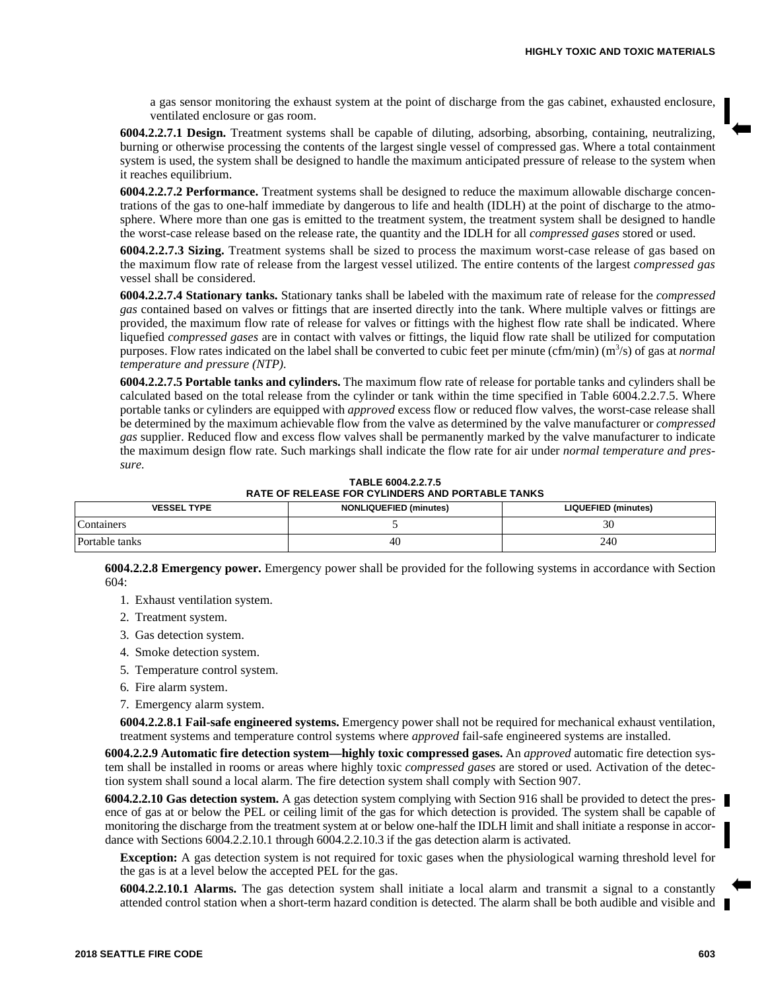a gas sensor monitoring the exhaust system at the point of discharge from the gas cabinet, exhausted enclosure, ventilated enclosure or gas room.

**6004.2.2.7.1 Design.** Treatment systems shall be capable of diluting, adsorbing, absorbing, containing, neutralizing, burning or otherwise processing the contents of the largest single vessel of compressed gas. Where a total containment system is used, the system shall be designed to handle the maximum anticipated pressure of release to the system when it reaches equilibrium.

**6004.2.2.7.2 Performance.** Treatment systems shall be designed to reduce the maximum allowable discharge concentrations of the gas to one-half immediate by dangerous to life and health (IDLH) at the point of discharge to the atmosphere. Where more than one gas is emitted to the treatment system, the treatment system shall be designed to handle the worst-case release based on the release rate, the quantity and the IDLH for all *compressed gases* stored or used.

**6004.2.2.7.3 Sizing.** Treatment systems shall be sized to process the maximum worst-case release of gas based on the maximum flow rate of release from the largest vessel utilized. The entire contents of the largest *compressed gas* vessel shall be considered.

**6004.2.2.7.4 Stationary tanks.** Stationary tanks shall be labeled with the maximum rate of release for the *compressed gas* contained based on valves or fittings that are inserted directly into the tank. Where multiple valves or fittings are provided, the maximum flow rate of release for valves or fittings with the highest flow rate shall be indicated. Where liquefied *compressed gases* are in contact with valves or fittings, the liquid flow rate shall be utilized for computation purposes. Flow rates indicated on the label shall be converted to cubic feet per minute (cfm/min) (m<sup>3</sup>/s) of gas at *normal temperature and pressure (NTP).*

**6004.2.2.7.5 Portable tanks and cylinders.** The maximum flow rate of release for portable tanks and cylinders shall be calculated based on the total release from the cylinder or tank within the time specified in Table 6004.2.2.7.5. Where portable tanks or cylinders are equipped with *approved* excess flow or reduced flow valves, the worst-case release shall be determined by the maximum achievable flow from the valve as determined by the valve manufacturer or *compressed gas* supplier. Reduced flow and excess flow valves shall be permanently marked by the valve manufacturer to indicate the maximum design flow rate. Such markings shall indicate the flow rate for air under *normal temperature and pressure.*

**TABLE 6004.2.2.7.5 RATE OF RELEASE FOR CYLINDERS AND PORTABLE TANKS**

| <b>VESSEL TYPE</b> | <b>NONLIQUEFIED (minutes)</b> | LIQUEFIED (minutes) |
|--------------------|-------------------------------|---------------------|
| Containers         |                               | 30                  |
| Portable tanks     | -46                           | 240                 |

**6004.2.2.8 Emergency power.** Emergency power shall be provided for the following systems in accordance with Section 604:

- 1. Exhaust ventilation system.
- 2. Treatment system.
- 3. Gas detection system.
- 4. Smoke detection system.
- 5. Temperature control system.
- 6. Fire alarm system.
- 7. Emergency alarm system.

**6004.2.2.8.1 Fail-safe engineered systems.** Emergency power shall not be required for mechanical exhaust ventilation, treatment systems and temperature control systems where *approved* fail-safe engineered systems are installed.

**6004.2.2.9 Automatic fire detection system—highly toxic compressed gases.** An *approved* automatic fire detection system shall be installed in rooms or areas where highly toxic *compressed gases* are stored or used. Activation of the detection system shall sound a local alarm. The fire detection system shall comply with Section 907.

**6004.2.2.10 Gas detection system.** A gas detection system complying with Section 916 shall be provided to detect the presence of gas at or below the PEL or ceiling limit of the gas for which detection is provided. The system shall be capable of monitoring the discharge from the treatment system at or below one-half the IDLH limit and shall initiate a response in accordance with Sections 6004.2.2.10.1 through 6004.2.2.10.3 if the gas detection alarm is activated.

**Exception:** A gas detection system is not required for toxic gases when the physiological warning threshold level for the gas is at a level below the accepted PEL for the gas.

**6004.2.2.10.1 Alarms.** The gas detection system shall initiate a local alarm and transmit a signal to a constantly attended control station when a short-term hazard condition is detected. The alarm shall be both audible and visible and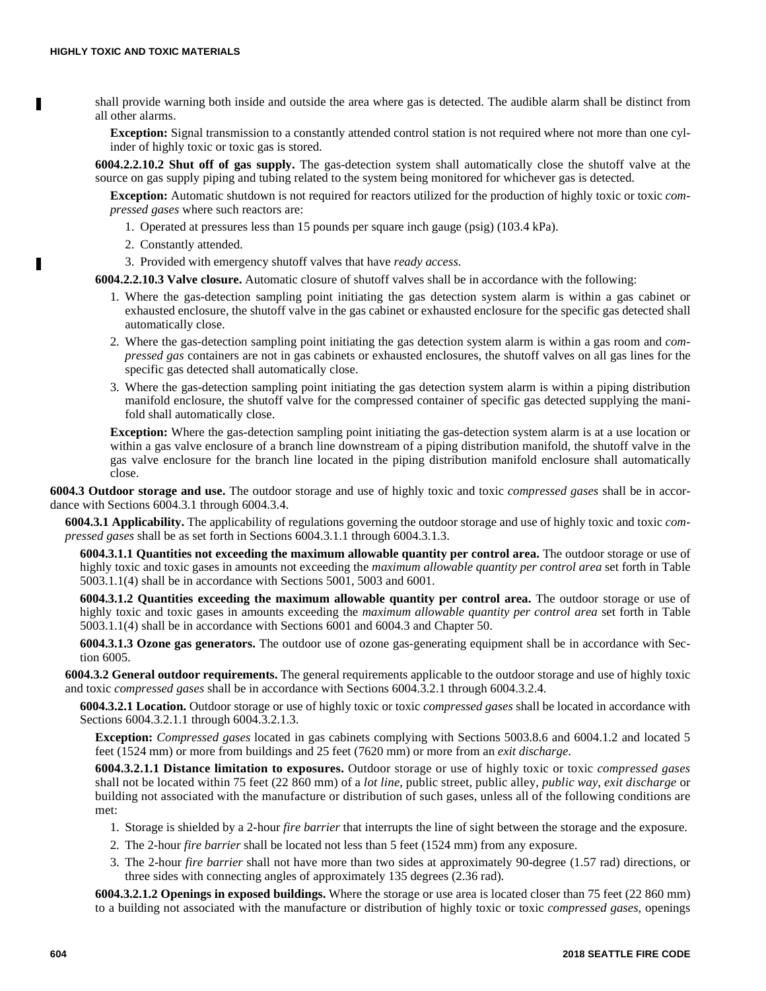и

shall provide warning both inside and outside the area where gas is detected. The audible alarm shall be distinct from all other alarms.

**Exception:** Signal transmission to a constantly attended control station is not required where not more than one cylinder of highly toxic or toxic gas is stored.

**6004.2.2.10.2 Shut off of gas supply.** The gas-detection system shall automatically close the shutoff valve at the source on gas supply piping and tubing related to the system being monitored for whichever gas is detected.

**Exception:** Automatic shutdown is not required for reactors utilized for the production of highly toxic or toxic *compressed gases* where such reactors are:

- 1. Operated at pressures less than 15 pounds per square inch gauge (psig) (103.4 kPa).
- 2. Constantly attended.
- 3. Provided with emergency shutoff valves that have *ready access*.

**6004.2.2.10.3 Valve closure.** Automatic closure of shutoff valves shall be in accordance with the following:

- 1. Where the gas-detection sampling point initiating the gas detection system alarm is within a gas cabinet or exhausted enclosure, the shutoff valve in the gas cabinet or exhausted enclosure for the specific gas detected shall automatically close.
- 2. Where the gas-detection sampling point initiating the gas detection system alarm is within a gas room and *compressed gas* containers are not in gas cabinets or exhausted enclosures, the shutoff valves on all gas lines for the specific gas detected shall automatically close.
- 3. Where the gas-detection sampling point initiating the gas detection system alarm is within a piping distribution manifold enclosure, the shutoff valve for the compressed container of specific gas detected supplying the manifold shall automatically close.

**Exception:** Where the gas-detection sampling point initiating the gas-detection system alarm is at a use location or within a gas valve enclosure of a branch line downstream of a piping distribution manifold, the shutoff valve in the gas valve enclosure for the branch line located in the piping distribution manifold enclosure shall automatically close.

**6004.3 Outdoor storage and use.** The outdoor storage and use of highly toxic and toxic *compressed gases* shall be in accordance with Sections 6004.3.1 through 6004.3.4.

**6004.3.1 Applicability.** The applicability of regulations governing the outdoor storage and use of highly toxic and toxic *compressed gases* shall be as set forth in Sections 6004.3.1.1 through 6004.3.1.3.

**6004.3.1.1 Quantities not exceeding the maximum allowable quantity per control area.** The outdoor storage or use of highly toxic and toxic gases in amounts not exceeding the *maximum allowable quantity per control area* set forth in Table 5003.1.1(4) shall be in accordance with Sections 5001, 5003 and 6001.

**6004.3.1.2 Quantities exceeding the maximum allowable quantity per control area.** The outdoor storage or use of highly toxic and toxic gases in amounts exceeding the *maximum allowable quantity per control area* set forth in Table 5003.1.1(4) shall be in accordance with Sections 6001 and 6004.3 and Chapter 50.

**6004.3.1.3 Ozone gas generators.** The outdoor use of ozone gas-generating equipment shall be in accordance with Section 6005.

**6004.3.2 General outdoor requirements.** The general requirements applicable to the outdoor storage and use of highly toxic and toxic *compressed gases* shall be in accordance with Sections 6004.3.2.1 through 6004.3.2.4.

**6004.3.2.1 Location.** Outdoor storage or use of highly toxic or toxic *compressed gases* shall be located in accordance with Sections 6004.3.2.1.1 through 6004.3.2.1.3.

**Exception:** *Compressed gases* located in gas cabinets complying with Sections 5003.8.6 and 6004.1.2 and located 5 feet (1524 mm) or more from buildings and 25 feet (7620 mm) or more from an *exit discharge*.

**6004.3.2.1.1 Distance limitation to exposures.** Outdoor storage or use of highly toxic or toxic *compressed gases* shall not be located within 75 feet (22 860 mm) of a *lot line*, public street, public alley, *public way*, *exit discharge* or building not associated with the manufacture or distribution of such gases, unless all of the following conditions are met:

- 1. Storage is shielded by a 2-hour *fire barrier* that interrupts the line of sight between the storage and the exposure.
- 2. The 2-hour *fire barrier* shall be located not less than 5 feet (1524 mm) from any exposure.
- 3. The 2-hour *fire barrier* shall not have more than two sides at approximately 90-degree (1.57 rad) directions, or three sides with connecting angles of approximately 135 degrees (2.36 rad).

**6004.3.2.1.2 Openings in exposed buildings.** Where the storage or use area is located closer than 75 feet (22 860 mm) to a building not associated with the manufacture or distribution of highly toxic or toxic *compressed gases*, openings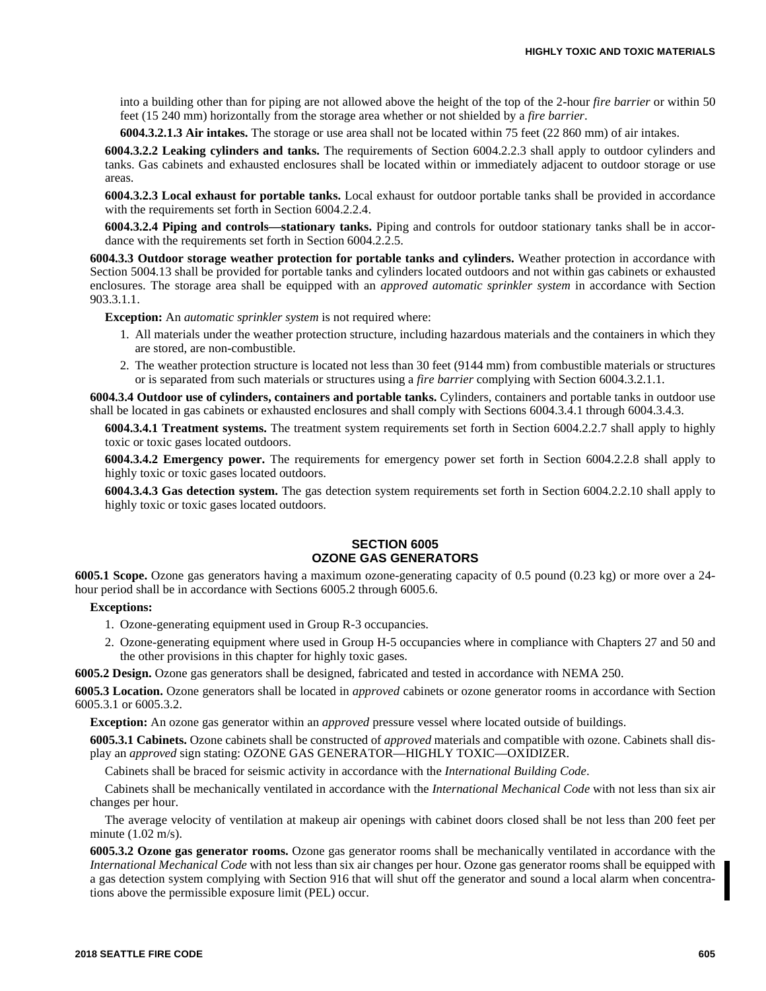into a building other than for piping are not allowed above the height of the top of the 2-hour *fire barrier* or within 50 feet (15 240 mm) horizontally from the storage area whether or not shielded by a *fire barrier*.

**6004.3.2.1.3 Air intakes.** The storage or use area shall not be located within 75 feet (22 860 mm) of air intakes.

**6004.3.2.2 Leaking cylinders and tanks.** The requirements of Section 6004.2.2.3 shall apply to outdoor cylinders and tanks. Gas cabinets and exhausted enclosures shall be located within or immediately adjacent to outdoor storage or use areas.

**6004.3.2.3 Local exhaust for portable tanks.** Local exhaust for outdoor portable tanks shall be provided in accordance with the requirements set forth in Section 6004.2.2.4.

**6004.3.2.4 Piping and controls—stationary tanks.** Piping and controls for outdoor stationary tanks shall be in accordance with the requirements set forth in Section 6004.2.2.5.

**6004.3.3 Outdoor storage weather protection for portable tanks and cylinders.** Weather protection in accordance with Section 5004.13 shall be provided for portable tanks and cylinders located outdoors and not within gas cabinets or exhausted enclosures. The storage area shall be equipped with an *approved automatic sprinkler system* in accordance with Section 903.3.1.1.

**Exception:** An *automatic sprinkler system* is not required where:

- 1. All materials under the weather protection structure, including hazardous materials and the containers in which they are stored, are non-combustible.
- 2. The weather protection structure is located not less than 30 feet (9144 mm) from combustible materials or structures or is separated from such materials or structures using a *fire barrier* complying with Section 6004.3.2.1.1.

**6004.3.4 Outdoor use of cylinders, containers and portable tanks.** Cylinders, containers and portable tanks in outdoor use shall be located in gas cabinets or exhausted enclosures and shall comply with Sections 6004.3.4.1 through 6004.3.4.3.

**6004.3.4.1 Treatment systems.** The treatment system requirements set forth in Section 6004.2.2.7 shall apply to highly toxic or toxic gases located outdoors.

**6004.3.4.2 Emergency power.** The requirements for emergency power set forth in Section 6004.2.2.8 shall apply to highly toxic or toxic gases located outdoors.

**6004.3.4.3 Gas detection system.** The gas detection system requirements set forth in Section 6004.2.2.10 shall apply to highly toxic or toxic gases located outdoors.

## **SECTION 6005 OZONE GAS GENERATORS**

**6005.1 Scope.** Ozone gas generators having a maximum ozone-generating capacity of 0.5 pound (0.23 kg) or more over a 24 hour period shall be in accordance with Sections 6005.2 through 6005.6.

#### **Exceptions:**

- 1. Ozone-generating equipment used in Group R-3 occupancies.
- 2. Ozone-generating equipment where used in Group H-5 occupancies where in compliance with Chapters 27 and 50 and the other provisions in this chapter for highly toxic gases.

**6005.2 Design.** Ozone gas generators shall be designed, fabricated and tested in accordance with NEMA 250.

**6005.3 Location.** Ozone generators shall be located in *approved* cabinets or ozone generator rooms in accordance with Section 6005.3.1 or 6005.3.2.

**Exception:** An ozone gas generator within an *approved* pressure vessel where located outside of buildings.

**6005.3.1 Cabinets.** Ozone cabinets shall be constructed of *approved* materials and compatible with ozone. Cabinets shall display an *approved* sign stating: OZONE GAS GENERATOR—HIGHLY TOXIC—OXIDIZER.

Cabinets shall be braced for seismic activity in accordance with the *International Building Code*.

Cabinets shall be mechanically ventilated in accordance with the *International Mechanical Code* with not less than six air changes per hour.

The average velocity of ventilation at makeup air openings with cabinet doors closed shall be not less than 200 feet per minute (1.02 m/s).

**6005.3.2 Ozone gas generator rooms.** Ozone gas generator rooms shall be mechanically ventilated in accordance with the *International Mechanical Code* with not less than six air changes per hour. Ozone gas generator rooms shall be equipped with a gas detection system complying with Section 916 that will shut off the generator and sound a local alarm when concentrations above the permissible exposure limit (PEL) occur.